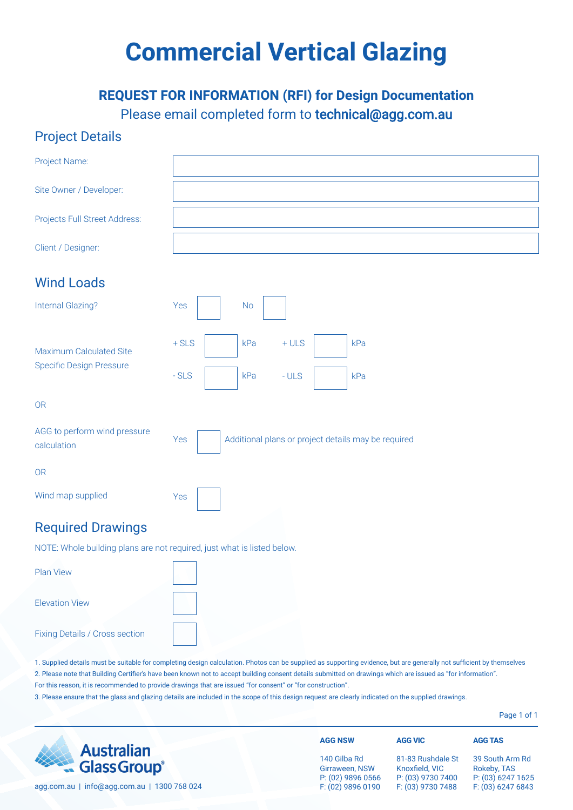# **Commercial Vertical Glazing**

### **REQUEST FOR INFORMATION (RFI) for Design Documentation** Please email completed form to technical@agg.com.au

#### Project Details

| Project Name:                                                           |                                                            |
|-------------------------------------------------------------------------|------------------------------------------------------------|
| Site Owner / Developer:                                                 |                                                            |
| Projects Full Street Address:                                           |                                                            |
| Client / Designer:                                                      |                                                            |
| <b>Wind Loads</b>                                                       |                                                            |
| <b>Internal Glazing?</b>                                                | Yes<br>No                                                  |
| Maximum Calculated Site                                                 | $+$ SLS<br>kPa<br>$+ULS$<br>kPa                            |
| Specific Design Pressure                                                | $-ULS$<br>$-SLS$<br>kPa<br>kPa                             |
| 0 <sub>R</sub>                                                          |                                                            |
| AGG to perform wind pressure<br>calculation                             | Additional plans or project details may be required<br>Yes |
| 0 <sub>R</sub>                                                          |                                                            |
| Wind map supplied                                                       | Yes                                                        |
| <b>Required Drawings</b>                                                |                                                            |
| NOTE: Whole building plans are not required, just what is listed below. |                                                            |
| <b>Plan View</b>                                                        |                                                            |
| <b>Elevation View</b>                                                   |                                                            |

Fixing Details / Cross section

1. Supplied details must be suitable for completing design calculation. Photos can be supplied as supporting evidence, but are generally not sufficient by themselves 2. Please note that Building Certifier's have been known not to accept building consent details submitted on drawings which are issued as "for information". For this reason, it is recommended to provide drawings that are issued "for consent" or "for construction".

3. Please ensure that the glass and glazing details are included in the scope of this design request are clearly indicated on the supplied drawings.

Page 1 of 1

|                                             | <b>AGG NSW</b>    | <b>AGG VIC</b>    | <b>AGG TAS</b>    |
|---------------------------------------------|-------------------|-------------------|-------------------|
| <b>Australian</b>                           | 140 Gilba Rd      | 81-83 Rushdale St | 39 South Arm Rd   |
| <b>Example 3 Australian</b><br>Glass Group® | Girraween, NSW    | Knoxfield, VIC    | Rokeby, TAS       |
| agg.com.au   info@agg.com.au   1300 768 024 | P: (02) 9896 0566 | P: (03) 9730 7400 | P: (03) 6247 1625 |
|                                             | F: (02) 9896 0190 | F: (03) 9730 7488 | F: (03) 6247 6843 |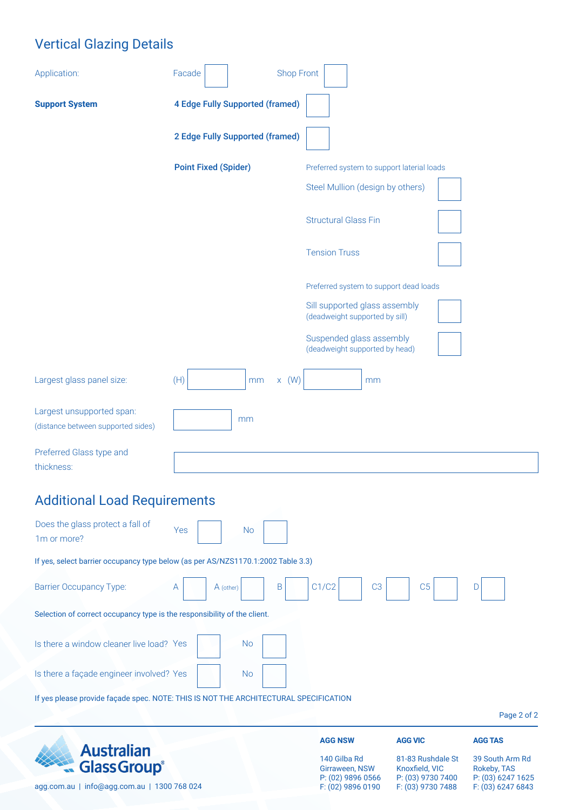## Vertical Glazing Details

| Application:                                                                         | <b>Shop Front</b><br>Facade            |                                                                 |                                     |                                |
|--------------------------------------------------------------------------------------|----------------------------------------|-----------------------------------------------------------------|-------------------------------------|--------------------------------|
| <b>Support System</b>                                                                | <b>4 Edge Fully Supported (framed)</b> |                                                                 |                                     |                                |
|                                                                                      | <b>2 Edge Fully Supported (framed)</b> |                                                                 |                                     |                                |
|                                                                                      | <b>Point Fixed (Spider)</b>            | Preferred system to support laterial loads                      |                                     |                                |
|                                                                                      |                                        | Steel Mullion (design by others)                                |                                     |                                |
|                                                                                      |                                        | <b>Structural Glass Fin</b>                                     |                                     |                                |
|                                                                                      |                                        | <b>Tension Truss</b>                                            |                                     |                                |
|                                                                                      |                                        | Preferred system to support dead loads                          |                                     |                                |
|                                                                                      |                                        | Sill supported glass assembly<br>(deadweight supported by sill) |                                     |                                |
|                                                                                      |                                        | Suspended glass assembly<br>(deadweight supported by head)      |                                     |                                |
| Largest glass panel size:                                                            | (H)<br>$x \t(W)$<br>mm                 | mm                                                              |                                     |                                |
| Largest unsupported span:<br>(distance between supported sides)                      | mm                                     |                                                                 |                                     |                                |
| Preferred Glass type and<br>thickness:                                               |                                        |                                                                 |                                     |                                |
| <b>Additional Load Requirements</b>                                                  |                                        |                                                                 |                                     |                                |
| Does the glass protect a fall of<br>1m or more?                                      | <b>No</b><br>Yes                       |                                                                 |                                     |                                |
| If yes, select barrier occupancy type below (as per AS/NZS1170.1:2002 Table 3.3)     |                                        |                                                                 |                                     |                                |
| <b>Barrier Occupancy Type:</b>                                                       | $\sf B$<br>A (other)<br>A              | C1/C2<br>C <sub>3</sub>                                         | C <sub>5</sub>                      | D                              |
| Selection of correct occupancy type is the responsibility of the client.             |                                        |                                                                 |                                     |                                |
| Is there a window cleaner live load? Yes                                             | <b>No</b>                              |                                                                 |                                     |                                |
| Is there a façade engineer involved? Yes                                             | <b>No</b>                              |                                                                 |                                     |                                |
| If yes please provide façade spec. NOTE: THIS IS NOT THE ARCHITECTURAL SPECIFICATION |                                        |                                                                 |                                     |                                |
|                                                                                      |                                        |                                                                 |                                     | Page 2 of 2                    |
| <b>Australian</b>                                                                    |                                        | <b>AGG NSW</b>                                                  | <b>AGG VIC</b>                      | <b>AGG TAS</b>                 |
| <b>Glass Group®</b>                                                                  |                                        | 140 Gilba Rd<br>Girraween, NSW                                  | 81-83 Rushdale St<br>Knoxfield, VIC | 39 South Arm Rd<br>Rokeby, TAS |

agg.com.au | info@agg.com.au | 1300 768 024

Girraween, NSW P: (02) 9896 0566 F: (02) 9896 0190

Knoxfield, VIC P: (03) 9730 7400 F: (03) 9730 7488

39 South Arm Rd Rokeby, TAS P: (03) 6247 1625 F: (03) 6247 6843